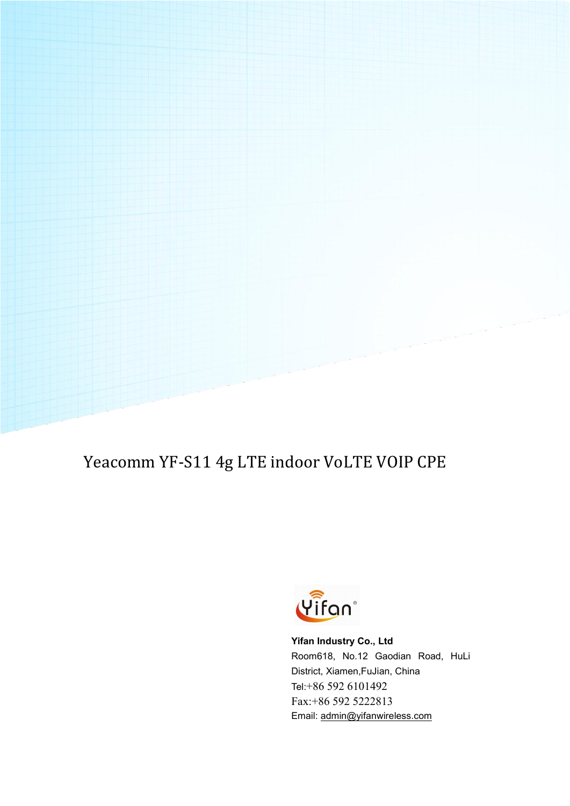# Yeacomm YF-S11 4g LTE indoor VoLTE VOIP CPE



**Yifan Industry Co., Ltd** Room618, No.12 Gaodian Road, HuLi District, Xiamen,FuJian, China Tel:+86 592 6101492 Fax:+86 592 5222813 Email: [admin@yifanwireless.com](mailto:admin@yifanwireless.com)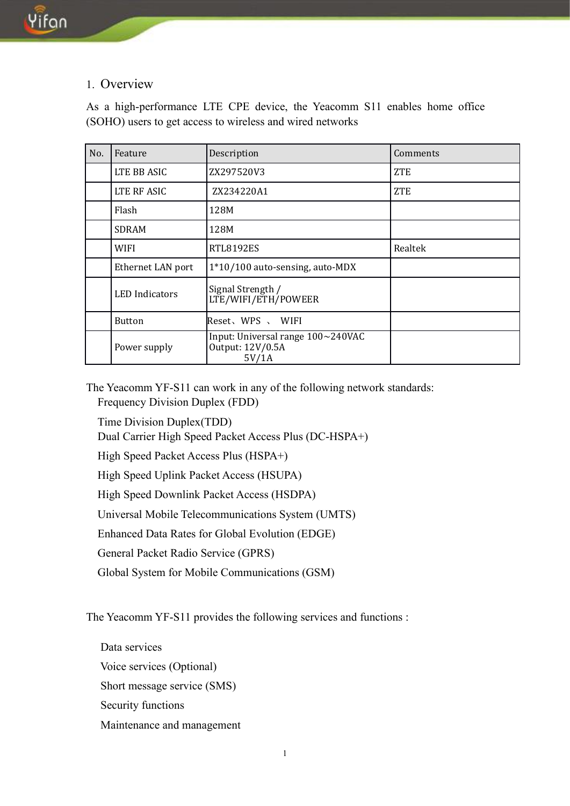### 1. Overview

As a high-performance LTE CPE device, the Yeacomm S11 enables home office (SOHO) users to get access to wireless and wired networks

| No. | Feature               | Description                                                    | Comments   |
|-----|-----------------------|----------------------------------------------------------------|------------|
|     | LTE BB ASIC           | ZX297520V3                                                     | <b>ZTE</b> |
|     | LTE RF ASIC           | ZX234220A1                                                     | <b>ZTE</b> |
|     | Flash                 | 128M                                                           |            |
|     | <b>SDRAM</b>          | 128M                                                           |            |
|     | <b>WIFI</b>           | RTL8192ES                                                      | Realtek    |
|     | Ethernet LAN port     | 1*10/100 auto-sensing, auto-MDX                                |            |
|     | <b>LED</b> Indicators | Signal Strength /<br>LTE/WIFI/ETH/POWEER                       |            |
|     | <b>Button</b>         | Reset、WPS 、 WIFI                                               |            |
|     | Power supply          | Input: Universal range 100~240VAC<br>Output: 12V/0.5A<br>5V/1A |            |

The Yeacomm YF-S11 can work in any of the following network standards: Frequency Division Duplex (FDD)

Time Division Duplex(TDD)

Dual Carrier High Speed Packet Access Plus (DC-HSPA+)

High Speed Packet Access Plus (HSPA+)

High Speed Uplink Packet Access (HSUPA)

High Speed Downlink Packet Access (HSDPA)

Universal Mobile Telecommunications System (UMTS)

Enhanced Data Rates for Global Evolution (EDGE)

General Packet Radio Service (GPRS)

Global System for Mobile Communications (GSM)

The Yeacomm YF-S11 provides the following services and functions :

Data services Voice services (Optional) Short message service (SMS) Security functions Maintenance and management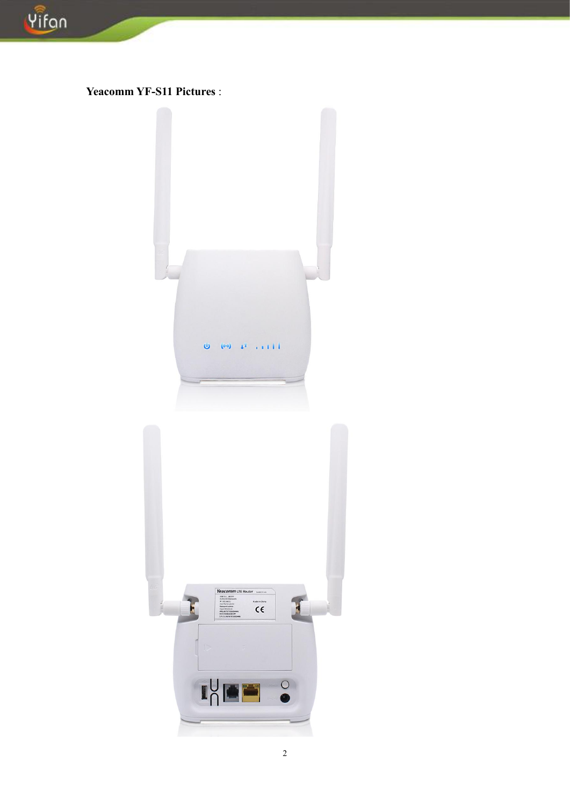

```
Yeacomm YF-S11 Pictures :
```
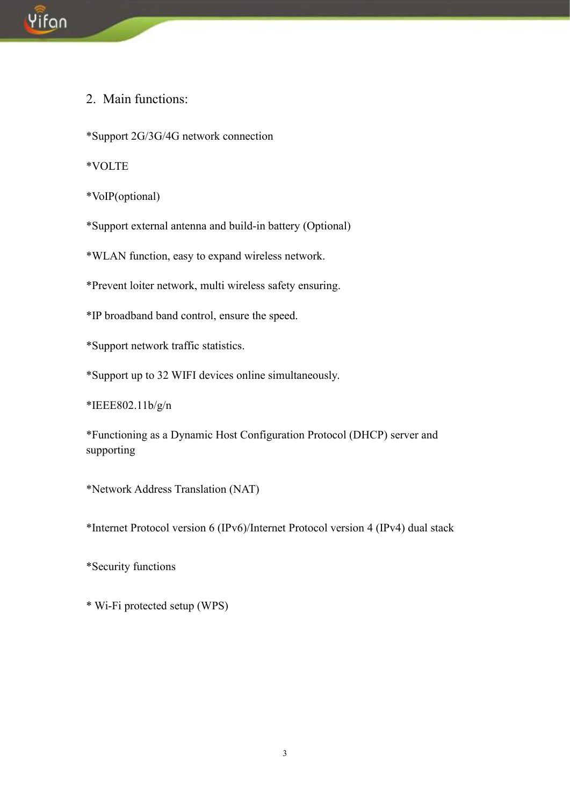

2. Main functions:

\*Support 2G/3G/4G network connection

\*VOLTE

\*VoIP(optional)

\*Support external antenna and build-in battery (Optional)

\*WLAN function, easy to expand wireless network.

\*Prevent loiter network, multi wireless safety ensuring.

\*IP broadband band control, ensure the speed.

\*Support network traffic statistics.

\*Support up to 32 WIFI devices online simultaneously.

\*IEEE802.11b/g/n

\*Functioning as a Dynamic Host Configuration Protocol (DHCP) server and supporting

\*Network Address Translation (NAT)

\*Internet Protocol version 6 (IPv6)/Internet Protocol version 4 (IPv4) dual stack

\*Security functions

\* Wi-Fi protected setup (WPS)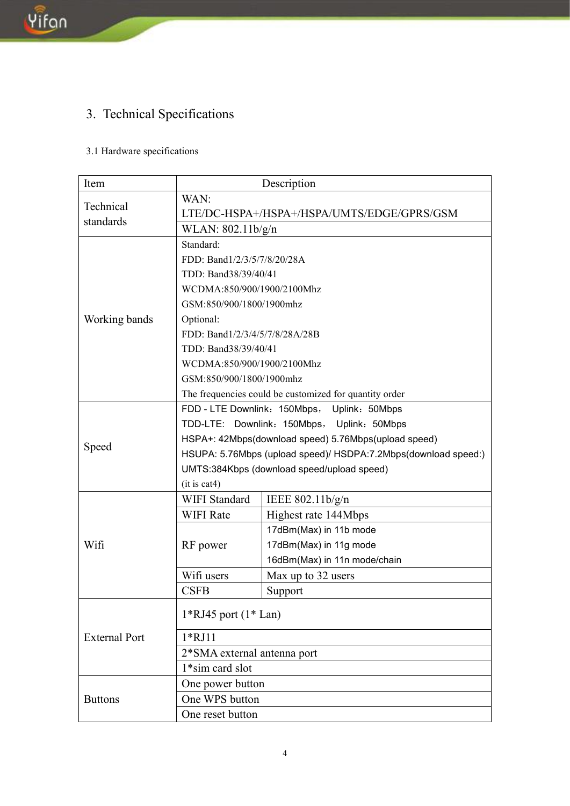### 3. Technical Specifications

### 3.1 Hardware specifications

| Item                 | Description                                                    |                              |  |
|----------------------|----------------------------------------------------------------|------------------------------|--|
|                      | WAN:                                                           |                              |  |
| Technical            | LTE/DC-HSPA+/HSPA+/HSPA/UMTS/EDGE/GPRS/GSM                     |                              |  |
| standards            | WLAN: 802.11b/g/n                                              |                              |  |
|                      | Standard:                                                      |                              |  |
|                      | FDD: Band1/2/3/5/7/8/20/28A                                    |                              |  |
|                      | TDD: Band38/39/40/41                                           |                              |  |
|                      | WCDMA:850/900/1900/2100Mhz                                     |                              |  |
|                      | GSM:850/900/1800/1900mhz                                       |                              |  |
| Working bands        | Optional:                                                      |                              |  |
|                      | FDD: Band1/2/3/4/5/7/8/28A/28B                                 |                              |  |
|                      | TDD: Band38/39/40/41                                           |                              |  |
|                      | WCDMA:850/900/1900/2100Mhz                                     |                              |  |
|                      | GSM:850/900/1800/1900mhz                                       |                              |  |
|                      | The frequencies could be customized for quantity order         |                              |  |
|                      | FDD - LTE Downlink: 150Mbps, Uplink: 50Mbps                    |                              |  |
|                      | TDD-LTE: Downlink: 150Mbps, Uplink: 50Mbps                     |                              |  |
|                      | HSPA+: 42Mbps(download speed) 5.76Mbps(upload speed)           |                              |  |
| Speed                | HSUPA: 5.76Mbps (upload speed)/ HSDPA:7.2Mbps(download speed:) |                              |  |
|                      | UMTS:384Kbps (download speed/upload speed)                     |                              |  |
|                      | (it is cat4)                                                   |                              |  |
|                      | <b>WIFI Standard</b>                                           | IEEE 802.11b/g/n             |  |
|                      | <b>WIFI Rate</b>                                               | Highest rate 144Mbps         |  |
|                      | RF power                                                       | 17dBm(Max) in 11b mode       |  |
| Wifi                 |                                                                | 17dBm(Max) in 11g mode       |  |
|                      |                                                                | 16dBm(Max) in 11n mode/chain |  |
|                      | Wifi users                                                     | Max up to 32 users           |  |
|                      | <b>CSFB</b>                                                    | Support                      |  |
|                      |                                                                |                              |  |
|                      | $1*RJ45$ port $(1* Lan)$                                       |                              |  |
| <b>External Port</b> | $1*RJ11$                                                       |                              |  |
|                      | 2*SMA external antenna port                                    |                              |  |
|                      | 1*sim card slot                                                |                              |  |
|                      | One power button                                               |                              |  |
| <b>Buttons</b>       | One WPS button                                                 |                              |  |
|                      | One reset button                                               |                              |  |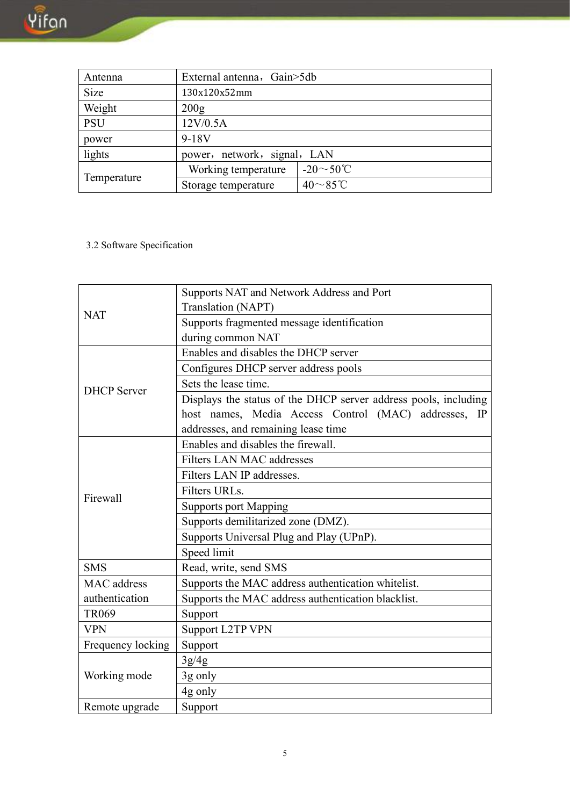| Antenna                               | External antenna, Gain>5db |                         |  |
|---------------------------------------|----------------------------|-------------------------|--|
| Size                                  | 130x120x52mm               |                         |  |
| Weight                                | 200 <sub>g</sub>           |                         |  |
| <b>PSU</b><br>12V/0.5A                |                            |                         |  |
| power                                 | $9-18V$                    |                         |  |
| lights<br>power, network, signal, LAN |                            |                         |  |
|                                       | Working temperature        | $-20 \sim 50^{\circ}$ C |  |
| Temperature                           | Storage temperature        | $40\sim85^{\circ}$ C    |  |

3.2 Software Specification

|                    | Supports NAT and Network Address and Port                       |
|--------------------|-----------------------------------------------------------------|
|                    | <b>Translation (NAPT)</b>                                       |
| <b>NAT</b>         | Supports fragmented message identification                      |
|                    | during common NAT                                               |
|                    | Enables and disables the DHCP server                            |
|                    | Configures DHCP server address pools                            |
| <b>DHCP</b> Server | Sets the lease time.                                            |
|                    | Displays the status of the DHCP server address pools, including |
|                    | host names, Media Access Control (MAC) addresses, IP            |
|                    | addresses, and remaining lease time                             |
|                    | Enables and disables the firewall.                              |
|                    | <b>Filters LAN MAC addresses</b>                                |
|                    | Filters LAN IP addresses.                                       |
|                    | Filters URLs.                                                   |
| Firewall           | <b>Supports port Mapping</b>                                    |
|                    | Supports demilitarized zone (DMZ).                              |
|                    | Supports Universal Plug and Play (UPnP).                        |
|                    | Speed limit                                                     |
| <b>SMS</b>         | Read, write, send SMS                                           |
| <b>MAC</b> address | Supports the MAC address authentication whitelist.              |
| authentication     | Supports the MAC address authentication blacklist.              |
| <b>TR069</b>       | Support                                                         |
| <b>VPN</b>         | <b>Support L2TP VPN</b>                                         |
| Frequency locking  | Support                                                         |
|                    | 3g/4g                                                           |
| Working mode       | 3g only                                                         |
|                    | 4g only                                                         |
| Remote upgrade     | Support                                                         |